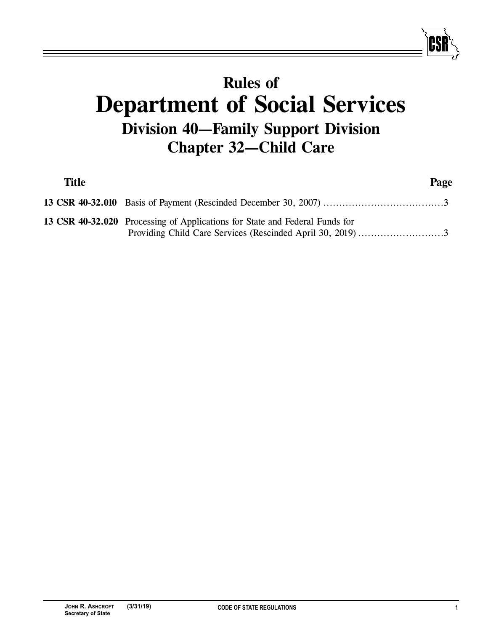## **Rules of Department of Social Services Division 40—Family Support Division Chapter 32—Child Care**

| <b>Title</b> |                                                                                                                                           | Page |
|--------------|-------------------------------------------------------------------------------------------------------------------------------------------|------|
|              |                                                                                                                                           |      |
|              | 13 CSR 40-32.020 Processing of Applications for State and Federal Funds for<br>Providing Child Care Services (Rescinded April 30, 2019) 3 |      |